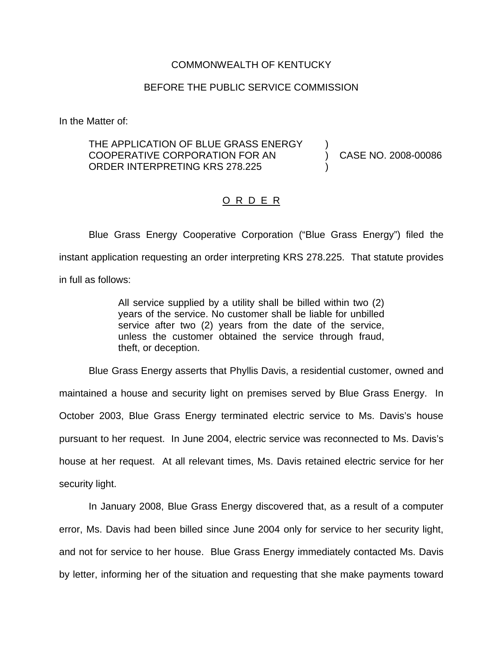## COMMONWEALTH OF KENTUCKY

## BEFORE THE PUBLIC SERVICE COMMISSION

In the Matter of:

## THE APPLICATION OF BLUE GRASS ENERGY COOPERATIVE CORPORATION FOR AN  $(2008-00086)$ ORDER INTERPRETING KRS 278.225 )

## O R D E R

Blue Grass Energy Cooperative Corporation ("Blue Grass Energy") filed the instant application requesting an order interpreting KRS 278.225. That statute provides in full as follows:

> All service supplied by a utility shall be billed within two (2) years of the service. No customer shall be liable for unbilled service after two (2) years from the date of the service, unless the customer obtained the service through fraud, theft, or deception.

Blue Grass Energy asserts that Phyllis Davis, a residential customer, owned and maintained a house and security light on premises served by Blue Grass Energy. In October 2003, Blue Grass Energy terminated electric service to Ms. Davis's house pursuant to her request. In June 2004, electric service was reconnected to Ms. Davis's house at her request. At all relevant times, Ms. Davis retained electric service for her security light.

In January 2008, Blue Grass Energy discovered that, as a result of a computer error, Ms. Davis had been billed since June 2004 only for service to her security light, and not for service to her house. Blue Grass Energy immediately contacted Ms. Davis by letter, informing her of the situation and requesting that she make payments toward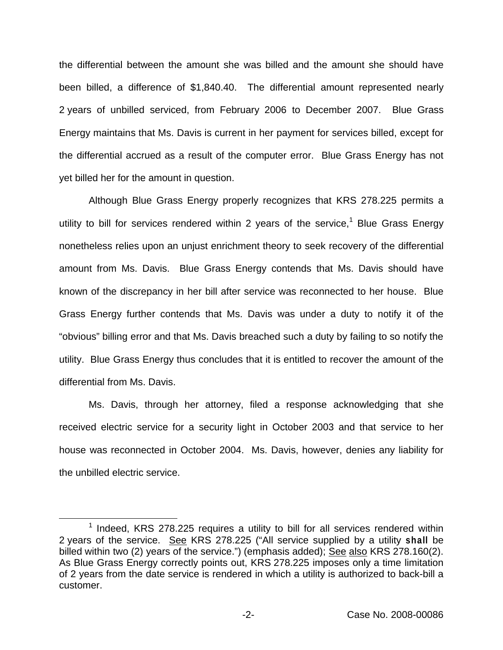the differential between the amount she was billed and the amount she should have been billed, a difference of \$1,840.40. The differential amount represented nearly 2 years of unbilled serviced, from February 2006 to December 2007. Blue Grass Energy maintains that Ms. Davis is current in her payment for services billed, except for the differential accrued as a result of the computer error. Blue Grass Energy has not yet billed her for the amount in question.

Although Blue Grass Energy properly recognizes that KRS 278.225 permits a utility to bill for services rendered within 2 years of the service, $<sup>1</sup>$  Blue Grass Energy</sup> nonetheless relies upon an unjust enrichment theory to seek recovery of the differential amount from Ms. Davis. Blue Grass Energy contends that Ms. Davis should have known of the discrepancy in her bill after service was reconnected to her house. Blue Grass Energy further contends that Ms. Davis was under a duty to notify it of the "obvious" billing error and that Ms. Davis breached such a duty by failing to so notify the utility. Blue Grass Energy thus concludes that it is entitled to recover the amount of the differential from Ms. Davis.

Ms. Davis, through her attorney, filed a response acknowledging that she received electric service for a security light in October 2003 and that service to her house was reconnected in October 2004. Ms. Davis, however, denies any liability for the unbilled electric service.

 $1$  Indeed, KRS 278.225 requires a utility to bill for all services rendered within 2 years of the service. See KRS 278.225 ("All service supplied by a utility **shall** be billed within two (2) years of the service.") (emphasis added); See also KRS 278.160(2). As Blue Grass Energy correctly points out, KRS 278.225 imposes only a time limitation of 2 years from the date service is rendered in which a utility is authorized to back-bill a customer.